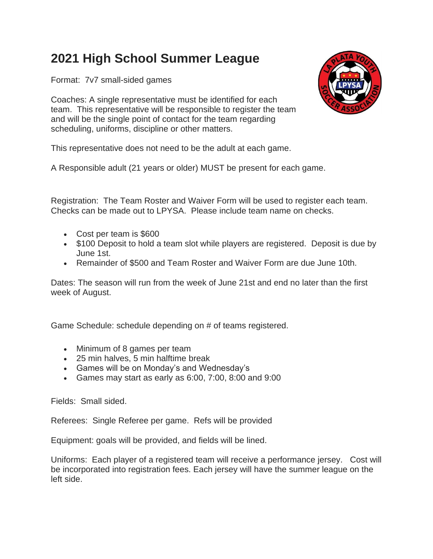## **2021 High School Summer League**

Format: 7v7 small-sided games

Coaches: A single representative must be identified for each team. This representative will be responsible to register the team and will be the single point of contact for the team regarding scheduling, uniforms, discipline or other matters.



This representative does not need to be the adult at each game.

A Responsible adult (21 years or older) MUST be present for each game.

Registration: The Team Roster and Waiver Form will be used to register each team. Checks can be made out to LPYSA. Please include team name on checks.

- Cost per team is \$600
- \$100 Deposit to hold a team slot while players are registered. Deposit is due by June 1st.
- Remainder of \$500 and Team Roster and Waiver Form are due June 10th.

Dates: The season will run from the week of June 21st and end no later than the first week of August.

Game Schedule: schedule depending on # of teams registered.

- Minimum of 8 games per team
- 25 min halves, 5 min halftime break
- Games will be on Monday's and Wednesday's
- Games may start as early as 6:00, 7:00, 8:00 and 9:00

Fields: Small sided.

Referees: Single Referee per game. Refs will be provided

Equipment: goals will be provided, and fields will be lined.

Uniforms: Each player of a registered team will receive a performance jersey. Cost will be incorporated into registration fees. Each jersey will have the summer league on the left side.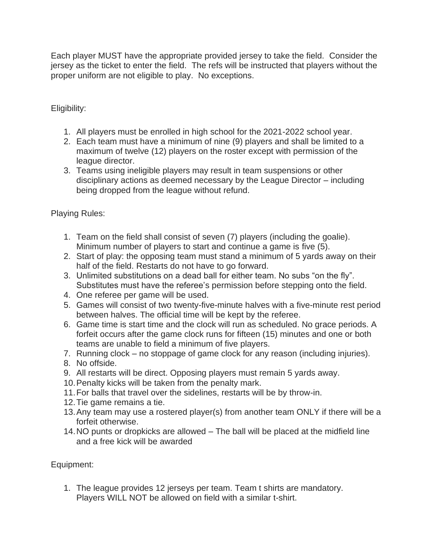Each player MUST have the appropriate provided jersey to take the field. Consider the jersey as the ticket to enter the field. The refs will be instructed that players without the proper uniform are not eligible to play. No exceptions.

Eligibility:

- 1. All players must be enrolled in high school for the 2021-2022 school year.
- 2. Each team must have a minimum of nine (9) players and shall be limited to a maximum of twelve (12) players on the roster except with permission of the league director.
- 3. Teams using ineligible players may result in team suspensions or other disciplinary actions as deemed necessary by the League Director – including being dropped from the league without refund.

Playing Rules:

- 1. Team on the field shall consist of seven (7) players (including the goalie). Minimum number of players to start and continue a game is five (5).
- 2. Start of play: the opposing team must stand a minimum of 5 yards away on their half of the field. Restarts do not have to go forward.
- 3. Unlimited substitutions on a dead ball for either team. No subs "on the fly". Substitutes must have the referee's permission before stepping onto the field.
- 4. One referee per game will be used.
- 5. Games will consist of two twenty-five-minute halves with a five-minute rest period between halves. The official time will be kept by the referee.
- 6. Game time is start time and the clock will run as scheduled. No grace periods. A forfeit occurs after the game clock runs for fifteen (15) minutes and one or both teams are unable to field a minimum of five players.
- 7. Running clock no stoppage of game clock for any reason (including injuries).
- 8. No offside.
- 9. All restarts will be direct. Opposing players must remain 5 yards away.
- 10.Penalty kicks will be taken from the penalty mark.
- 11.For balls that travel over the sidelines, restarts will be by throw-in.
- 12.Tie game remains a tie.
- 13.Any team may use a rostered player(s) from another team ONLY if there will be a forfeit otherwise.
- 14.NO punts or dropkicks are allowed The ball will be placed at the midfield line and a free kick will be awarded

Equipment:

1. The league provides 12 jerseys per team. Team t shirts are mandatory. Players WILL NOT be allowed on field with a similar t-shirt.